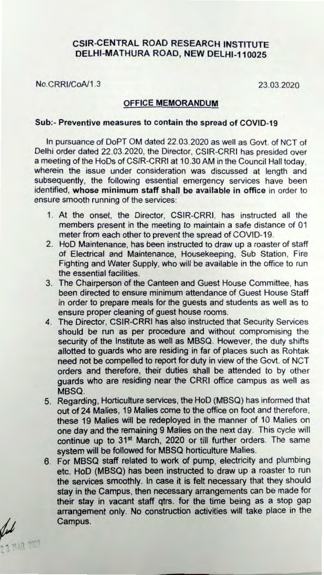## CSIR-CENTRAL ROAD RESEARCH INSTITUTE DELHI-MATHURA ROAD, NEW DELHI-110025

No.CRRI/CoA/1.3 23.03.2020

## OFFICE MEMORANDUM

## Sub:- Preventive measures to contain the spread of COVID-19

In pursuance of DoPT OM dated 22.03.2020 as well as Govt. of NCT of Delhi order dated 22.03.2020, the Director, CSIR-CRRI has presided over a meeting of the HoDs of CSIR-CRRI at 10.30 AM in the Council Hall today, wherein the issue under consideration was discussed at length and subsequently, the following essential emergency services have been identified, whose minimum staff shall be available in office in order to ensure smooth running of the services:

- 1. At the onset, the Director, CSIR-CRRI, has instructed all the members present in the meeting to maintain a safe distance of 01 meter from each other to prevent the spread of COVID-19.
- 2. HoD Maintenance, has been instructed to draw up a roaster of staff of Electrical and Maintenance, Housekeeping, Sub Station, Fire Fighting and Water Supply, who will be available in the office to run the essential facilities.
- 3. The Chairperson of the Canteen and Guest House Committee, has been directed to ensure minimum attendance of Guest House Staff in order to prepare meals for the guests and students as well as to ensure proper cleaning of guest house rooms.
- 4. The Director, CSIR-CRRI has also instructed that Security Services should be run as per procedure and without compromising the security of the Institute as well as MBSQ. However, the duty shifts allotted to guards who are residing in far of places such as Rohtak need not be compelled to report for duty in view of the Govt. of NCT orders and therefore, their duties shall be attended to by other guards who are residing near the CRRI office campus as well as MBSQ.
- 5. Regarding, Horticulture services, the HoD (MBSQ) has informed that out of 24 Malies. 19 Malies come to the office on foot and therefore, these 19 Malies will be redeployed in the manner of 10 Malies on one day and the remaining 9 Malies on the next day. This cycle will continue up to 31<sup>st</sup> March, 2020 or till further orders. The same system will be followed for MBSQ horticulture Malies.
- 6. For MBSQ staff related to work of pump, electricity and plumbing etc. HoD (MBSQ) has been instructed to draw up a roaster to run the services smoothly. In case it is felt necessary that they should stay in the Campus, then necessary arrangements can be made for their stay in vacant staff qtrs. for the time being as a stop gap arrangement only. No construction activities will take place in the Campus.

b **2.3 MAR 2020**